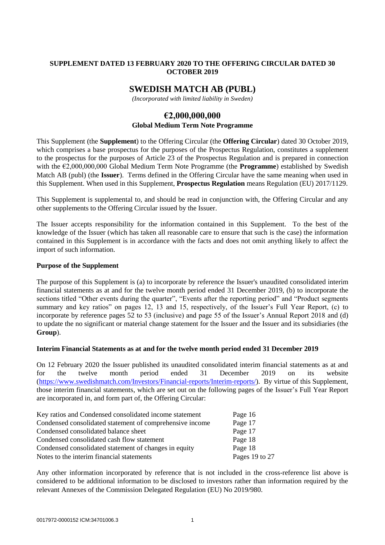## **SUPPLEMENT DATED 13 FEBRUARY 2020 TO THE OFFERING CIRCULAR DATED 30 OCTOBER 2019**

# **SWEDISH MATCH AB (PUBL)**

*(Incorporated with limited liability in Sweden)*

# **€2,000,000,000**

### **Global Medium Term Note Programme**

This Supplement (the **Supplement**) to the Offering Circular (the **Offering Circular**) dated 30 October 2019, which comprises a base prospectus for the purposes of the Prospectus Regulation, constitutes a supplement to the prospectus for the purposes of Article 23 of the Prospectus Regulation and is prepared in connection with the €2,000,000,000 Global Medium Term Note Programme (the **Programme**) established by Swedish Match AB (publ) (the **Issuer**). Terms defined in the Offering Circular have the same meaning when used in this Supplement. When used in this Supplement, **Prospectus Regulation** means Regulation (EU) 2017/1129.

This Supplement is supplemental to, and should be read in conjunction with, the Offering Circular and any other supplements to the Offering Circular issued by the Issuer.

The Issuer accepts responsibility for the information contained in this Supplement. To the best of the knowledge of the Issuer (which has taken all reasonable care to ensure that such is the case) the information contained in this Supplement is in accordance with the facts and does not omit anything likely to affect the import of such information.

#### **Purpose of the Supplement**

The purpose of this Supplement is (a) to incorporate by reference the Issuer's unaudited consolidated interim financial statements as at and for the twelve month period ended 31 December 2019, (b) to incorporate the sections titled "Other events during the quarter", "Events after the reporting period" and "Product segments summary and key ratios" on pages 12, 13 and 15, respectively, of the Issuer's Full Year Report, (c) to incorporate by reference pages 52 to 53 (inclusive) and page 55 of the Issuer's Annual Report 2018 and (d) to update the no significant or material change statement for the Issuer and the Issuer and its subsidiaries (the **Group**).

#### **Interim Financial Statements as at and for the twelve month period ended 31 December 2019**

On 12 February 2020 the Issuer published its unaudited consolidated interim financial statements as at and for the twelve month period ended 31 December 2019 on its website [\(https://www.swedishmatch.com/Investors/Financial-reports/Interim-reports/\)](https://www.swedishmatch.com/Investors/Financial-reports/Interim-reports/). By virtue of this Supplement, those interim financial statements, which are set out on the following pages of the Issuer's Full Year Report are incorporated in, and form part of, the Offering Circular:

| Key ratios and Condensed consolidated income statement   | Page 16        |
|----------------------------------------------------------|----------------|
| Condensed consolidated statement of comprehensive income | Page 17        |
| Condensed consolidated balance sheet                     | Page 17        |
| Condensed consolidated cash flow statement               | Page 18        |
| Condensed consolidated statement of changes in equity    | Page 18        |
| Notes to the interim financial statements                | Pages 19 to 27 |

Any other information incorporated by reference that is not included in the cross-reference list above is considered to be additional information to be disclosed to investors rather than information required by the relevant Annexes of the Commission Delegated Regulation (EU) No 2019/980.